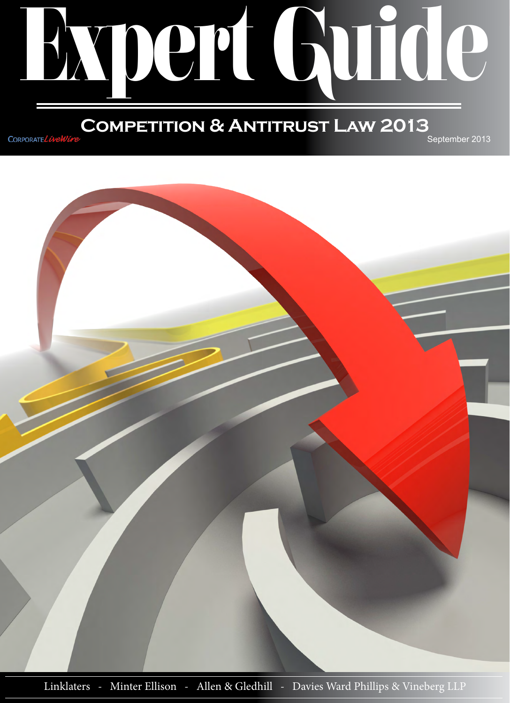

## **Competition & Antitrust Law 2013** September 2013

CORPORATEL Well



Linklaters - Minter Ellison - Allen & Gledhill - Davies Ward Phillips & Vineberg LLP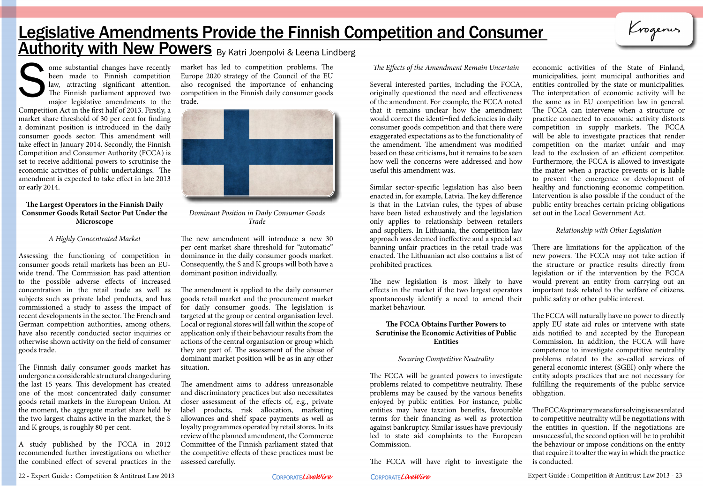# Legislative Amendments Provide the Finnish Competition and Consumer **Authority with New Powers** By Katri Joenpolvi & Leena Lindberg

ome substantial changes have recently been made to Finnish competition law, attracting significant attention. The Finnish parliament approved two major legislative amendments to the Competition Act in the first half of 2013. Firstly, a market share threshold of 30 per cent for finding a dominant position is introduced in the daily consumer goods sector. This amendment will take effect in January 2014. Secondly, the Finnish Competition and Consumer Authority (FCCA) is set to receive additional powers to scrutinise the economic activities of public undertakings. The amendment is expected to take effect in late 2013 or early 2014. The Effects of the Amendment Remain Uncertain<br>
been made to Finnish competition Europe 2020 strategy of the Council of the EU<br>
law, attracting significant attention. also recognised the importance of enhancing<br>
The Finnish

### **The Largest Operators in the Finnish Daily Consumer Goods Retail Sector Put Under the Microscope**

### *A Highly Concentrated Market*

Assessing the functioning of competition in consumer goods retail markets has been an EUwide trend. The Commission has paid attention to the possible adverse effects of increased concentration in the retail trade as well as subjects such as private label products, and has commissioned a study to assess the impact of recent developments in the sector. The French and German competition authorities, among others, have also recently conducted sector inquiries or otherwise shown activity on the field of consumer goods trade.

The Finnish daily consumer goods market has undergone a considerable structural change during the last 15 years. This development has created one of the most concentrated daily consumer goods retail markets in the European Union. At the moment, the aggregate market share held by the two largest chains active in the market, the S and K groups, is roughly 80 per cent.

A study published by the FCCA in 2012 recommended further investigations on whether the combined effect of several practices in the market has led to competition problems. The Europe 2020 strategy of the Council of the EU also recognised the importance of enhancing competition in the Finnish daily consumer goods trade.



*Dominant Position in Daily Consumer Goods Trade*

The new amendment will introduce a new 30 per cent market share threshold for "automatic" dominance in the daily consumer goods market. Consequently, the S and K groups will both have a dominant position individually.

The amendment is applied to the daily consumer goods retail market and the procurement market for daily consumer goods. The legislation is targeted at the group or central organisation level. Local or regional stores will fall within the scope of application only if their behaviour results from the actions of the central organisation or group which they are part of. The assessment of the abuse of dominant market position will be as in any other situation.

The amendment aims to address unreasonable and discriminatory practices but also necessitates closer assessment of the effects of, e.g., private label products, risk allocation, marketing allowances and shelf space payments as well as loyalty programmes operated by retail stores. In its review of the planned amendment, the Commerce Committee of the Finnish parliament stated that the competitive effects of these practices must be assessed carefully.

Similar sector-specific legislation has also been enacted in, for example, Latvia. The key difference is that in the Latvian rules, the types of abuse have been listed exhaustively and the legislation only applies to relationship between retailers and suppliers. In Lithuania, the competition law approach was deemed ineffective and a special act banning unfair practices in the retail trade was enacted. The Lithuanian act also contains a list of prohibited practices.

The new legislation is most likely to have effects in the market if the two largest operators spontaneously identify a need to amend their market behaviour.

### **The FCCA Obtains Further Powers to Scrutinise the Economic Activities of Public Entities**

### *Securing Competitive Neutrality*

Several interested parties, including the FCCA, originally questioned the need and effectiveness of the amendment. For example, the FCCA noted that it remains unclear how the amendment would correct the identi¬fied deficiencies in daily consumer goods competition and that there were exaggerated expectations as to the functionality of the amendment. The amendment was modified based on these criticisms, but it remains to be seen how well the concerns were addressed and how useful this amendment was. economic activities of the State of Finland, municipalities, joint municipal authorities and entities controlled by the state or municipalities. The interpretation of economic activity will be the same as in EU competition law in general. The FCCA can intervene when a structure or practice connected to economic activity distorts competition in supply markets. The FCCA will be able to investigate practices that render competition on the market unfair and may lead to the exclusion of an efficient competitor. Furthermore, the FCCA is allowed to investigate the matter when a practice prevents or is liable to prevent the emergence or development of healthy and functioning economic competition. Intervention is also possible if the conduct of the public entity breaches certain pricing obligations set out in the Local Government Act.

The FCCA will be granted powers to investigate problems related to competitive neutrality. These problems may be caused by the various benefits enjoyed by public entities. For instance, public entities may have taxation benefits, favourable terms for their financing as well as protection against bankruptcy. Similar issues have previously led to state aid complaints to the European Commission.

The FCCA will have right to investigate the

22 - Expert Guide : Competition & Antitrust Law 2013 CORPORATELIVENUSE CORPORATELIVENUSE Expert Guide : Competition & Antitrust Law 2013 - 23

### *Relationship with Other Legislation*

Krogenus

There are limitations for the application of the new powers. The FCCA may not take action if the structure or practice results directly from legislation or if the intervention by the FCCA would prevent an entity from carrying out an important task related to the welfare of citizens, public safety or other public interest.

The FCCA will naturally have no power to directly apply EU state aid rules or intervene with state aids notified to and accepted by the European Commission. In addition, the FCCA will have competence to investigate competitive neutrality problems related to the so-called services of general economic interest (SGEI) only where the entity adopts practices that are not necessary for fulfilling the requirements of the public service obligation.

The FCCA's primary means for solving issues related to competitive neutrality will be negotiations with the entities in question. If the negotiations are unsuccessful, the second option will be to prohibit the behaviour or impose conditions on the entity that require it to alter the way in which the practice is conducted.